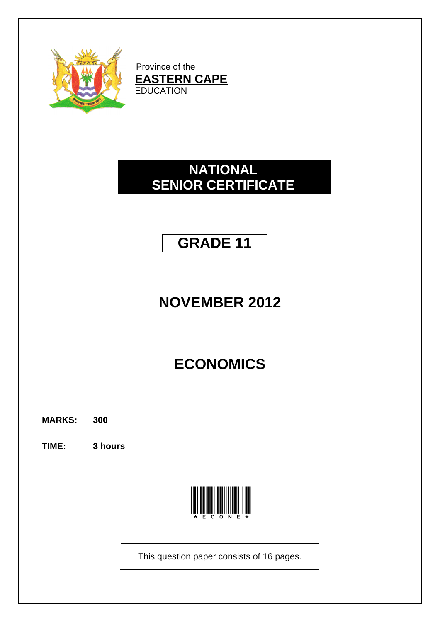

Province of the **EASTERN CAPE** EDUCATION

# **NATIONAL SENIOR CERTIFICATE**

# **GRADE 11**

# **NOVEMBER 2012**

# **ECONOMICS**

**MARKS: 300**

**TIME: 3 hours**



This question paper consists of 16 pages.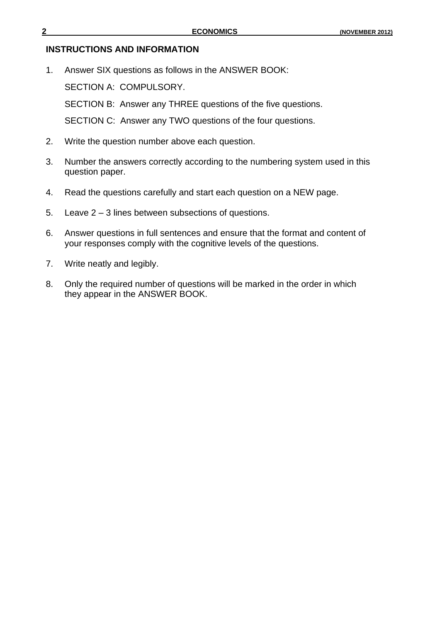#### **INSTRUCTIONS AND INFORMATION**

1. Answer SIX questions as follows in the ANSWER BOOK:

SECTION A: COMPULSORY.

SECTION B: Answer any THREE questions of the five questions.

SECTION C: Answer any TWO questions of the four questions.

- 2. Write the question number above each question.
- 3. Number the answers correctly according to the numbering system used in this question paper.
- 4. Read the questions carefully and start each question on a NEW page.
- 5. Leave 2 3 lines between subsections of questions.
- 6. Answer questions in full sentences and ensure that the format and content of your responses comply with the cognitive levels of the questions.
- 7. Write neatly and legibly.
- 8. Only the required number of questions will be marked in the order in which they appear in the ANSWER BOOK.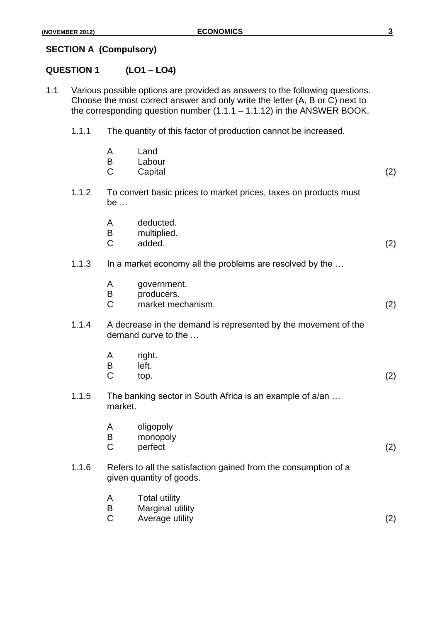## **SECTION A (Compulsory)**

# **QUESTION 1 (LO1 – LO4)**

- 1.1 Various possible options are provided as answers to the following questions. Choose the most correct answer and only write the letter (A, B or C) next to the corresponding question number  $(1.1.1 - 1.1.12)$  in the ANSWER BOOK.
	- 1.1.1 The quantity of this factor of production cannot be increased.

|       | A<br>B<br>$\mathsf{C}$ | Land<br>Labour<br>Capital                                                                   | (2) |
|-------|------------------------|---------------------------------------------------------------------------------------------|-----|
| 1.1.2 | be $\ldots$            | To convert basic prices to market prices, taxes on products must                            |     |
|       | A<br>B<br>$\mathsf{C}$ | deducted.<br>multiplied.<br>added.                                                          | (2) |
| 1.1.3 |                        | In a market economy all the problems are resolved by the                                    |     |
|       | A<br>B<br>$\mathsf{C}$ | government.<br>producers.<br>market mechanism.                                              | (2) |
| 1.1.4 |                        | A decrease in the demand is represented by the movement of the<br>demand curve to the       |     |
|       | A<br>B<br>$\mathsf{C}$ | right.<br>left.<br>top.                                                                     | (2) |
| 1.1.5 | market.                | The banking sector in South Africa is an example of a/an                                    |     |
|       | A<br>B<br>$\mathsf C$  | oligopoly<br>monopoly<br>perfect                                                            | (2) |
| 1.1.6 |                        | Refers to all the satisfaction gained from the consumption of a<br>given quantity of goods. |     |
|       | A<br>B<br>$\mathsf C$  | <b>Total utility</b><br>Marginal utility<br>Average utility                                 | (2) |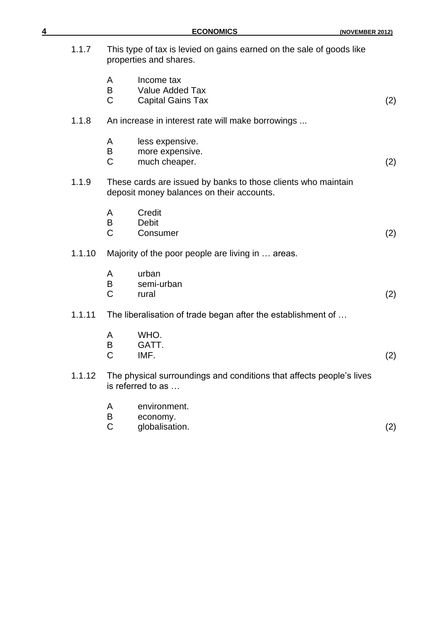| <u>4</u> |        |                       | <b>ECONOMICS</b>                                                                                           | (NOVEMBER 2012) |
|----------|--------|-----------------------|------------------------------------------------------------------------------------------------------------|-----------------|
|          | 1.1.7  |                       | This type of tax is levied on gains earned on the sale of goods like<br>properties and shares.             |                 |
|          |        | A<br>B<br>$\mathsf C$ | Income tax<br><b>Value Added Tax</b><br><b>Capital Gains Tax</b>                                           | (2)             |
|          | 1.1.8  |                       | An increase in interest rate will make borrowings                                                          |                 |
|          |        | A<br>B<br>C           | less expensive.<br>more expensive.<br>much cheaper.                                                        | (2)             |
|          | 1.1.9  |                       | These cards are issued by banks to those clients who maintain<br>deposit money balances on their accounts. |                 |
|          |        | A<br>B<br>C           | Credit<br><b>Debit</b><br>Consumer                                                                         | (2)             |
|          | 1.1.10 |                       | Majority of the poor people are living in  areas.                                                          |                 |
|          |        | A<br>B<br>$\mathsf C$ | urban<br>semi-urban<br>rural                                                                               | (2)             |
|          | 1.1.11 |                       | The liberalisation of trade began after the establishment of                                               |                 |
|          |        | A<br>Β<br>С           | WHO.<br>GATT.<br>IMF.                                                                                      | (2)             |
|          | 1.1.12 |                       | The physical surroundings and conditions that affects people's lives<br>is referred to as                  |                 |
|          |        | A<br>B<br>C           | environment.<br>economy.<br>globalisation.                                                                 | (2)             |
|          |        |                       |                                                                                                            |                 |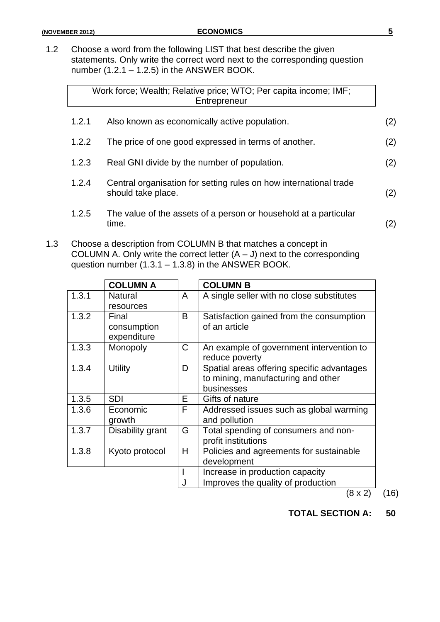1.2 Choose a word from the following LIST that best describe the given statements. Only write the correct word next to the corresponding question number  $(1.2.1 - 1.2.5)$  in the ANSWER BOOK.

|       | Work force; Wealth; Relative price; WTO; Per capita income; IMF;<br>Entrepreneur        |     |
|-------|-----------------------------------------------------------------------------------------|-----|
| 1.2.1 | Also known as economically active population.                                           | (2) |
| 1.2.2 | The price of one good expressed in terms of another.                                    | (2) |
| 1.2.3 | Real GNI divide by the number of population.                                            | (2) |
| 1.2.4 | Central organisation for setting rules on how international trade<br>should take place. | (2) |
| 1.2.5 | The value of the assets of a person or household at a particular<br>time.               | (2) |
|       |                                                                                         |     |

1.3 Choose a description from COLUMN B that matches a concept in COLUMN A. Only write the correct letter  $(A - J)$  next to the corresponding question number (1.3.1 – 1.3.8) in the ANSWER BOOK.

|       | <b>COLUMN A</b>  |              | <b>COLUMN B</b>                            |
|-------|------------------|--------------|--------------------------------------------|
| 1.3.1 | <b>Natural</b>   | A            | A single seller with no close substitutes  |
|       | resources        |              |                                            |
| 1.3.2 | Final            | B            | Satisfaction gained from the consumption   |
|       | consumption      |              | of an article                              |
|       | expenditure      |              |                                            |
| 1.3.3 | Monopoly         | $\mathsf{C}$ | An example of government intervention to   |
|       |                  |              | reduce poverty                             |
| 1.3.4 | <b>Utility</b>   | D            | Spatial areas offering specific advantages |
|       |                  |              | to mining, manufacturing and other         |
|       |                  |              | businesses                                 |
| 1.3.5 | <b>SDI</b>       | E            | Gifts of nature                            |
| 1.3.6 | Economic         | F            | Addressed issues such as global warming    |
|       | growth           |              | and pollution                              |
| 1.3.7 | Disability grant | G            | Total spending of consumers and non-       |
|       |                  |              | profit institutions                        |
| 1.3.8 | Kyoto protocol   | Н            | Policies and agreements for sustainable    |
|       |                  |              | development                                |
|       |                  |              | Increase in production capacity            |
|       |                  | J            | Improves the quality of production         |

 $(8 \times 2)$  (16)

**TOTAL SECTION A: 50**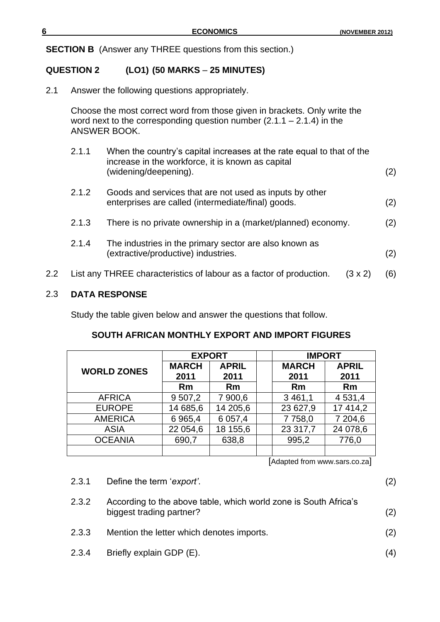**SECTION B** (Answer any THREE questions from this section.)

### **QUESTION 2 (LO1) (50 MARKS** – **25 MINUTES)**

2.1 Answer the following questions appropriately.

Choose the most correct word from those given in brackets. Only write the word next to the corresponding question number  $(2.1.1 - 2.1.4)$  in the ANSWER BOOK.

- 2.1.1 When the country's capital increases at the rate equal to that of the increase in the workforce, it is known as capital (widening/deepening). (2)
- 2.1.2 Goods and services that are not used as inputs by other enterprises are called (intermediate/final) goods. (2)
- 2.1.3 There is no private ownership in a (market/planned) economy. (2)
- 2.1.4 The industries in the primary sector are also known as (extractive/productive) industries. (2)
- 2.2 List any THREE characteristics of labour as a factor of production. (3 x 2) (6)

#### 2.3 **DATA RESPONSE**

Study the table given below and answer the questions that follow.

#### **SOUTH AFRICAN MONTHLY EXPORT AND IMPORT FIGURES**

|                    | <b>EXPORT</b> |              |  | <b>IMPORT</b> |              |  |
|--------------------|---------------|--------------|--|---------------|--------------|--|
| <b>WORLD ZONES</b> | <b>MARCH</b>  | <b>APRIL</b> |  | <b>MARCH</b>  | <b>APRIL</b> |  |
|                    | 2011          | 2011         |  | 2011          | 2011         |  |
|                    | Rm            | Rm           |  | <b>Rm</b>     | <b>Rm</b>    |  |
| <b>AFRICA</b>      | 9 507,2       | 7 900,6      |  | 3 4 61,1      | 4 5 3 1 , 4  |  |
| <b>EUROPE</b>      | 14 685,6      | 14 205,6     |  | 23 627,9      | 17 414,2     |  |
| <b>AMERICA</b>     | 6 9 6 5 , 4   | 6 0 57,4     |  | 7758,0        | 7 204,6      |  |
| <b>ASIA</b>        | 22 054,6      | 18 155,6     |  | 23 317,7      | 24 078,6     |  |
| <b>OCEANIA</b>     | 690,7         | 638,8        |  | 995,2         | 776,0        |  |
|                    |               |              |  |               |              |  |

[Adapted from www.sars.co.za]

2.3.2 According to the above table, which world zone is South Africa's biggest trading partner? (2) 2.3.3 Mention the letter which denotes imports. (2) 2.3.4 Briefly explain GDP (E). (4)

2.3.1 Define the term '*export'*. (2)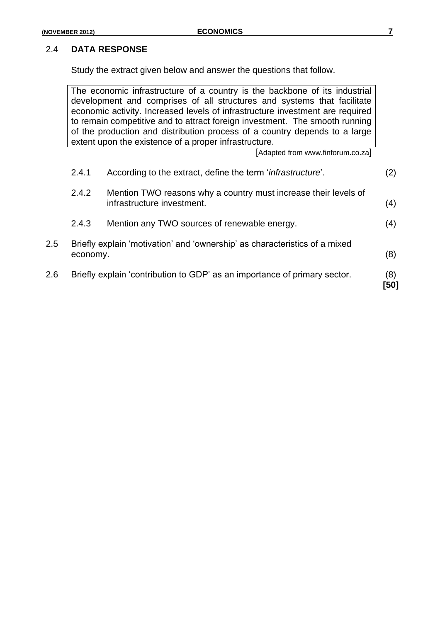Study the extract given below and answer the questions that follow.

The economic infrastructure of a country is the backbone of its industrial development and comprises of all structures and systems that facilitate economic activity. Increased levels of infrastructure investment are required to remain competitive and to attract foreign investment. The smooth running of the production and distribution process of a country depends to a large extent upon the existence of a proper infrastructure. [Adapted from www.finforum.co.za] 2.4.1 According to the extract, define the term '*infrastructure*'. (2) 2.4.2 Mention TWO reasons why a country must increase their levels of infrastructure investment. (4) 2.4.3 Mention any TWO sources of renewable energy. (4) 2.5 Briefly explain 'motivation' and 'ownership' as characteristics of a mixed economy. (8) 2.6 Briefly explain 'contribution to GDP' as an importance of primary sector. (8) **[50]**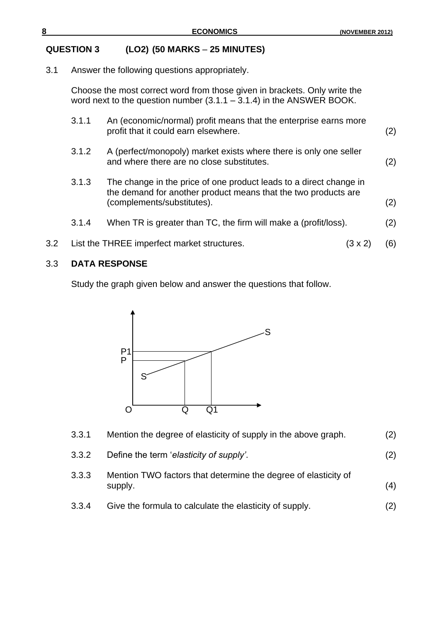#### **QUESTION 3 (LO2) (50 MARKS** – **25 MINUTES)**

3.1 Answer the following questions appropriately.

Choose the most correct word from those given in brackets. Only write the word next to the question number  $(3.1.1 - 3.1.4)$  in the ANSWER BOOK.

- 3.1.1 An (economic/normal) profit means that the enterprise earns more profit that it could earn elsewhere. (2)
- 3.1.2 A (perfect/monopoly) market exists where there is only one seller and where there are no close substitutes. (2)
- 3.1.3 The change in the price of one product leads to a direct change in the demand for another product means that the two products are (complements/substitutes). (2)
- 3.1.4 When TR is greater than TC, the firm will make a (profit/loss). (2)
- 3.2 List the THREE imperfect market structures. (3 x 2) (6)

#### 3.3 **DATA RESPONSE**

Study the graph given below and answer the questions that follow.



| 3.3.1 | Mention the degree of elasticity of supply in the above graph.            | (2) |
|-------|---------------------------------------------------------------------------|-----|
| 3.3.2 | Define the term 'elasticity of supply'.                                   | (2) |
| 3.3.3 | Mention TWO factors that determine the degree of elasticity of<br>supply. | (4) |
| 3.3.4 | Give the formula to calculate the elasticity of supply.                   | (2) |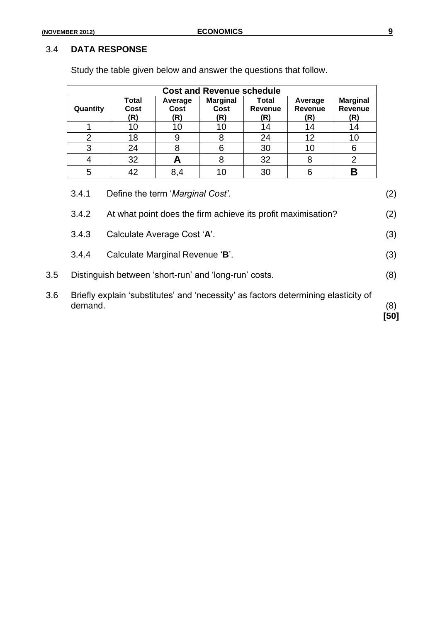|                                           | <b>Cost and Revenue schedule</b>                             |                        |                                |                                |                                  |                                   |     |
|-------------------------------------------|--------------------------------------------------------------|------------------------|--------------------------------|--------------------------------|----------------------------------|-----------------------------------|-----|
| Quantity                                  | Total<br>Cost<br>(R)                                         | Average<br>Cost<br>(R) | <b>Marginal</b><br>Cost<br>(R) | Total<br><b>Revenue</b><br>(R) | Average<br><b>Revenue</b><br>(R) | <b>Marginal</b><br>Revenue<br>(R) |     |
| 1                                         | 10                                                           | 10                     | 10                             | 14                             | 14                               | 14                                |     |
| $\overline{2}$                            | 18                                                           | 9                      | 8                              | 24                             | 12                               | 10                                |     |
| 3                                         | 24                                                           | 8                      | 6                              | 30                             | 10                               | 6                                 |     |
| 4                                         | 32                                                           | A                      | 8                              | 32                             | 8                                | $\overline{2}$                    |     |
| 5                                         | 42                                                           | 8,4                    | 10                             | 30                             | 6                                | В                                 |     |
| 3.4.1<br>Define the term 'Marginal Cost'. |                                                              |                        |                                |                                |                                  |                                   | (2) |
| 3.4.2                                     | At what point does the firm achieve its profit maximisation? |                        |                                |                                |                                  |                                   | (2) |
| 3.4.3                                     | Calculate Average Cost 'A'.                                  |                        |                                |                                |                                  |                                   | (3) |
| 3.4.4                                     | Calculate Marginal Revenue 'B'.                              |                        |                                |                                |                                  |                                   | (3) |

Study the table given below and answer the questions that follow.

3.5 Distinguish between 'short-run' and 'long-run' costs. (8)

3.6 Briefly explain 'substitutes' and 'necessity' as factors determining elasticity of demand. (8) **[50]**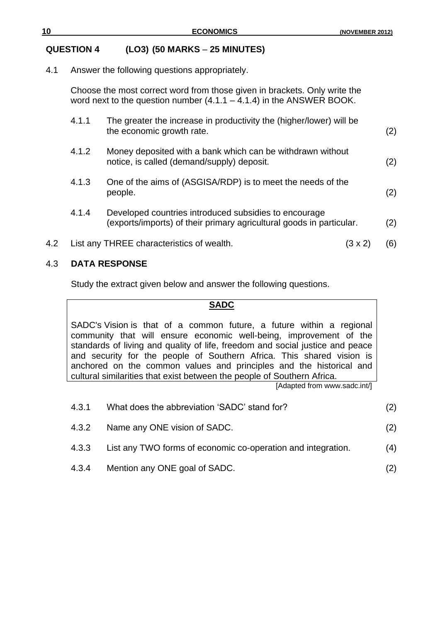### **QUESTION 4 (LO3) (50 MARKS** – **25 MINUTES)**

#### 4.1 Answer the following questions appropriately.

Choose the most correct word from those given in brackets. Only write the word next to the question number  $(4.1.1 - 4.1.4)$  in the ANSWER BOOK.

|     | 4.1.1 | The greater the increase in productivity the (higher/lower) will be<br>the economic growth rate.                              |         | (2) |
|-----|-------|-------------------------------------------------------------------------------------------------------------------------------|---------|-----|
|     | 4.1.2 | Money deposited with a bank which can be withdrawn without<br>notice, is called (demand/supply) deposit.                      |         | (2) |
|     | 4.1.3 | One of the aims of (ASGISA/RDP) is to meet the needs of the<br>people.                                                        |         | (2) |
|     | 4.1.4 | Developed countries introduced subsidies to encourage<br>(exports/imports) of their primary agricultural goods in particular. |         | (2) |
| 4.2 |       | List any THREE characteristics of wealth.                                                                                     | (3 x 2) | (6) |

#### 4.3 **DATA RESPONSE**

Study the extract given below and answer the following questions.

#### **SADC**

SADC's [Vision](http://www.sadc.int/index/browse/page/64) is that of a common future, a future within a regional community that will ensure economic well-being, improvement of the standards of living and quality of life, freedom and social justice and peace and security for the people of Southern Africa. This shared vision is anchored on the common values and principles and the historical and cultural similarities that exist between the people of Southern Africa.

[Adapted from www.sadc.int/]

| 4.3.1 | What does the abbreviation 'SADC' stand for?                       | (2) |
|-------|--------------------------------------------------------------------|-----|
| 4.3.2 | Name any ONE vision of SADC.                                       | (2) |
|       | 4.3.3 List any TWO forms of economic co-operation and integration. | (4) |
| 4.3.4 | Mention any ONE goal of SADC.                                      |     |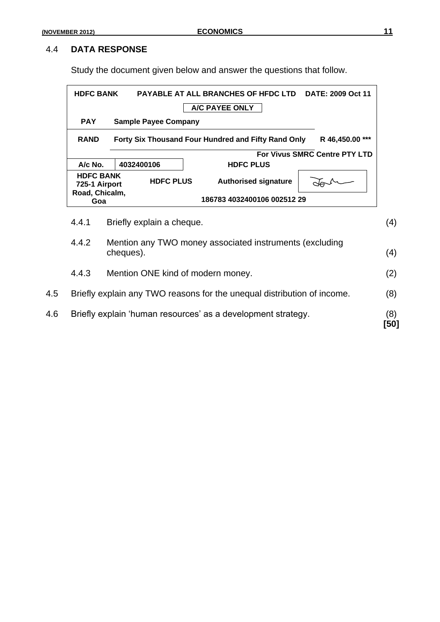Study the document given below and answer the questions that follow.

| DATE: 2009 Oct 11             | <b>PAYABLE AT ALL BRANCHES OF HFDC LTD</b>          |                             | <b>HDFC BANK</b>                  |  |
|-------------------------------|-----------------------------------------------------|-----------------------------|-----------------------------------|--|
|                               | A/C PAYEE ONLY                                      |                             |                                   |  |
|                               |                                                     | <b>Sample Payee Company</b> | <b>PAY</b>                        |  |
| R 46,450.00 ***               | Forty Six Thousand Four Hundred and Fifty Rand Only |                             | <b>RAND</b>                       |  |
| For Vivus SMRC Centre PTY LTD |                                                     |                             |                                   |  |
|                               | <b>HDFC PLUS</b>                                    | 4032400106                  | A/c No.                           |  |
|                               | <b>Authorised signature</b>                         | <b>HDFC PLUS</b>            | <b>HDFC BANK</b><br>725-1 Airport |  |
|                               | 186783 4032400106 002512 29                         |                             | Road, Chicalm,<br>Goa             |  |
|                               |                                                     | Briefly explain a cheque.   | 4.4.1                             |  |
|                               |                                                     |                             |                                   |  |

4.4.2 Mention any TWO money associated instruments (excluding cheques). (4) 4.4.3 Mention ONE kind of modern money. (2) 4.5 Briefly explain any TWO reasons for the unequal distribution of income. (8) 4.6 Briefly explain 'human resources' as a development strategy. (8) **[50]**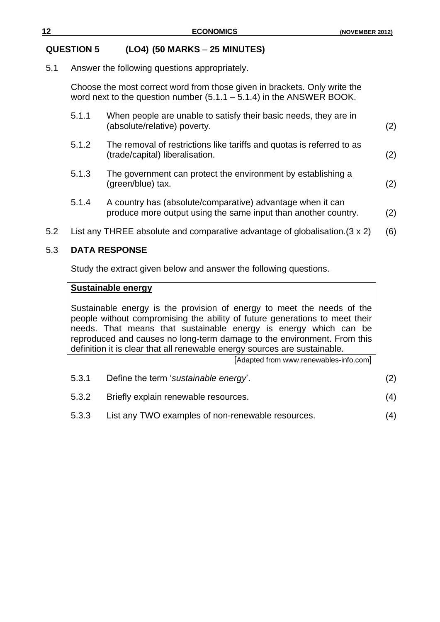#### **QUESTION 5 (LO4) (50 MARKS** – **25 MINUTES)**

5.1 Answer the following questions appropriately.

Choose the most correct word from those given in brackets. Only write the word next to the question number  $(5.1.1 - 5.1.4)$  in the ANSWER BOOK.

|     | 5.1.1 | When people are unable to satisfy their basic needs, they are in<br>(absolute/relative) poverty.                             | (2) |
|-----|-------|------------------------------------------------------------------------------------------------------------------------------|-----|
|     | 5.1.2 | The removal of restrictions like tariffs and quotas is referred to as<br>(trade/capital) liberalisation.                     | (2) |
|     | 5.1.3 | The government can protect the environment by establishing a<br>(green/blue) tax.                                            | (2) |
|     | 5.1.4 | A country has (absolute/comparative) advantage when it can<br>produce more output using the same input than another country. | (2) |
| 5.2 |       | List any THREE absolute and comparative advantage of globalisation. $(3 \times 2)$                                           | (6) |

#### 5.3 **DATA RESPONSE**

Study the extract given below and answer the following questions.

#### **Sustainable energy**

Sustainable energy is the provision of energy to meet the needs of the people without compromising the ability of future generations to meet their needs. That means that sustainable energy is energy which can be reproduced and causes no long-term damage to the environment. From this definition it is clear that all renewable energy sources are sustainable.

[Adapted from www.renewables-info.com]

- 5.3.1 Define the term '*sustainable energy*'. (2)
- 5.3.2 Briefly explain renewable resources. (4)
- 5.3.3 List any TWO examples of non-renewable resources. (4)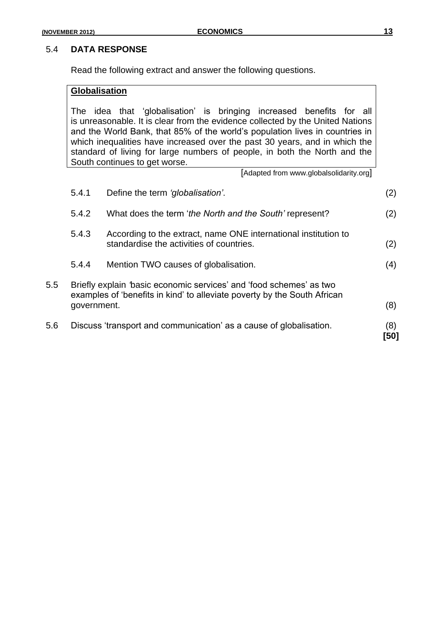Read the following extract and answer the following questions.

#### **Globalisation**

The idea that 'globalisation' is bringing increased benefits for all is unreasonable. It is clear from the evidence collected by the United Nations and the World Bank, that 85% of the world's population lives in countries in which inequalities have increased over the past 30 years, and in which the standard of living for large numbers of people, in both the North and the South continues to get worse.

[Adapted from www.globalsolidarity.org]

|         | 5.4.1       | Define the term 'globalisation'.                                                                                                                | (2)         |
|---------|-------------|-------------------------------------------------------------------------------------------------------------------------------------------------|-------------|
|         | 5.4.2       | What does the term 'the North and the South' represent?                                                                                         | (2)         |
|         | 5.4.3       | According to the extract, name ONE international institution to<br>standardise the activities of countries.                                     | (2)         |
|         | 5.4.4       | Mention TWO causes of globalisation.                                                                                                            | (4)         |
| $5.5\,$ | government. | Briefly explain 'basic economic services' and 'food schemes' as two<br>examples of 'benefits in kind' to alleviate poverty by the South African | (8)         |
| 5.6     |             | Discuss 'transport and communication' as a cause of globalisation.                                                                              | (8)<br>'501 |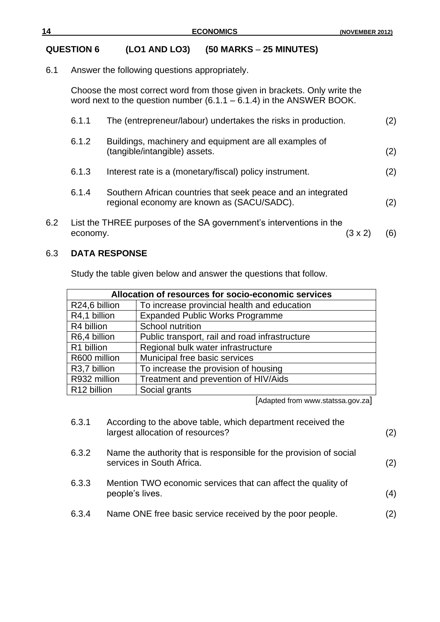# **QUESTION 6 (LO1 AND LO3) (50 MARKS** – **25 MINUTES)**

6.1 Answer the following questions appropriately.

Choose the most correct word from those given in brackets. Only write the word next to the question number  $(6.1.1 - 6.1.4)$  in the ANSWER BOOK.

|     | 6.1.1    | The (entrepreneur/labour) undertakes the risks in production.                                              |         | (2) |
|-----|----------|------------------------------------------------------------------------------------------------------------|---------|-----|
|     | 6.1.2    | Buildings, machinery and equipment are all examples of<br>(tangible/intangible) assets.                    |         | (2) |
|     | 6.1.3    | Interest rate is a (monetary/fiscal) policy instrument.                                                    |         | (2) |
|     | 6.1.4    | Southern African countries that seek peace and an integrated<br>regional economy are known as (SACU/SADC). |         | (2) |
| 6.2 | economy. | List the THREE purposes of the SA government's interventions in the                                        | (3 x 2) | (6) |

#### 6.3 **DATA RESPONSE**

Study the table given below and answer the questions that follow.

| Allocation of resources for socio-economic services          |                                                |  |  |
|--------------------------------------------------------------|------------------------------------------------|--|--|
| To increase provincial health and education<br>R24,6 billion |                                                |  |  |
| R4,1 billion                                                 | <b>Expanded Public Works Programme</b>         |  |  |
| R4 billion                                                   | School nutrition                               |  |  |
| R6,4 billion                                                 | Public transport, rail and road infrastructure |  |  |
| R1 billion                                                   | Regional bulk water infrastructure             |  |  |
| R600 million                                                 | Municipal free basic services                  |  |  |
| R3,7 billion                                                 | To increase the provision of housing           |  |  |
| R932 million                                                 | Treatment and prevention of HIV/Aids           |  |  |
| R12 billion                                                  | Social grants                                  |  |  |

[Adapted from www.statssa.gov.za]

| 6.3.1 | According to the above table, which department received the<br>largest allocation of resources? | (2) |
|-------|-------------------------------------------------------------------------------------------------|-----|
| 6.3.2 | Name the authority that is responsible for the provision of social<br>services in South Africa. | (2) |
| 6.3.3 | Mention TWO economic services that can affect the quality of<br>people's lives.                 | (4) |
| 6.3.4 | Name ONE free basic service received by the poor people.                                        | (2) |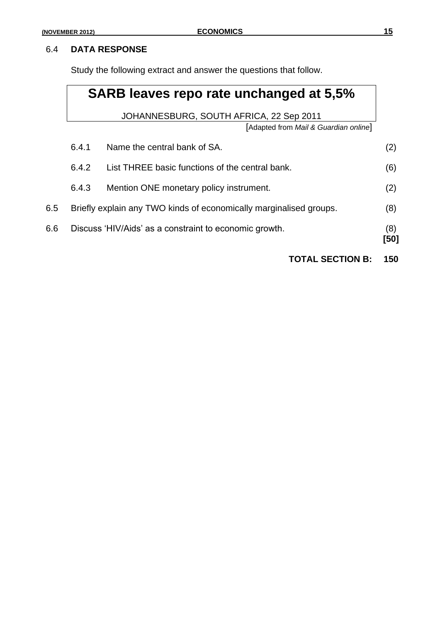Study the following extract and answer the questions that follow.

# **SARB leaves repo rate unchanged at 5,5%**

JOHANNESBURG, SOUTH AFRICA, 22 Sep 2011

[Adapted from *Mail & Guardian online*]

|     | 6.4.1 | Name the central bank of SA.                                       | (2)         |
|-----|-------|--------------------------------------------------------------------|-------------|
|     | 6.4.2 | List THREE basic functions of the central bank.                    | (6)         |
|     | 6.4.3 | Mention ONE monetary policy instrument.                            | (2)         |
| 6.5 |       | Briefly explain any TWO kinds of economically marginalised groups. | (8)         |
| 6.6 |       | Discuss 'HIV/Aids' as a constraint to economic growth.             | (8)<br>[50] |

**TOTAL SECTION B: 150**